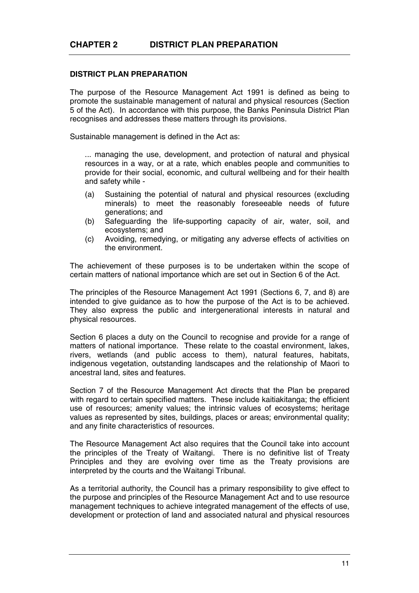## **DISTRICT PLAN PREPARATION**

The purpose of the Resource Management Act 1991 is defined as being to promote the sustainable management of natural and physical resources (Section 5 of the Act). In accordance with this purpose, the Banks Peninsula District Plan recognises and addresses these matters through its provisions.

Sustainable management is defined in the Act as:

... managing the use, development, and protection of natural and physical resources in a way, or at a rate, which enables people and communities to provide for their social, economic, and cultural wellbeing and for their health and safety while -

- (a) Sustaining the potential of natural and physical resources (excluding minerals) to meet the reasonably foreseeable needs of future generations; and
- (b) Safeguarding the life-supporting capacity of air, water, soil, and ecosystems; and
- (c) Avoiding, remedying, or mitigating any adverse effects of activities on the environment.

The achievement of these purposes is to be undertaken within the scope of certain matters of national importance which are set out in Section 6 of the Act.

The principles of the Resource Management Act 1991 (Sections 6, 7, and 8) are intended to give guidance as to how the purpose of the Act is to be achieved. They also express the public and intergenerational interests in natural and physical resources.

Section 6 places a duty on the Council to recognise and provide for a range of matters of national importance. These relate to the coastal environment, lakes, rivers, wetlands (and public access to them), natural features, habitats, indigenous vegetation, outstanding landscapes and the relationship of Maori to ancestral land, sites and features.

Section 7 of the Resource Management Act directs that the Plan be prepared with regard to certain specified matters. These include kaitiakitanga; the efficient use of resources; amenity values; the intrinsic values of ecosystems; heritage values as represented by sites, buildings, places or areas; environmental quality; and any finite characteristics of resources.

The Resource Management Act also requires that the Council take into account the principles of the Treaty of Waitangi. There is no definitive list of Treaty Principles and they are evolving over time as the Treaty provisions are interpreted by the courts and the Waitangi Tribunal.

As a territorial authority, the Council has a primary responsibility to give effect to the purpose and principles of the Resource Management Act and to use resource management techniques to achieve integrated management of the effects of use, development or protection of land and associated natural and physical resources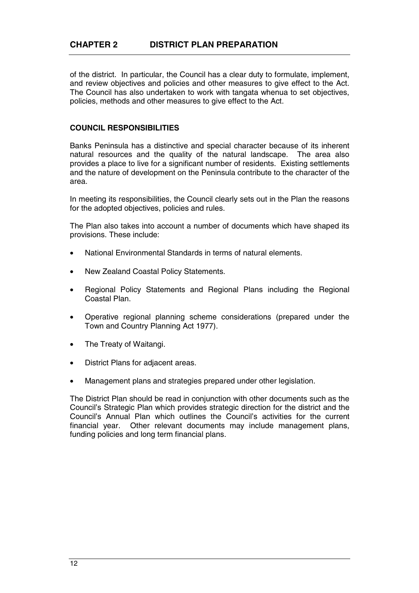of the district. In particular, the Council has a clear duty to formulate, implement, and review objectives and policies and other measures to give effect to the Act. The Council has also undertaken to work with tangata whenua to set objectives, policies, methods and other measures to give effect to the Act.

## **COUNCIL RESPONSIBILITIES**

Banks Peninsula has a distinctive and special character because of its inherent natural resources and the quality of the natural landscape. The area also provides a place to live for a significant number of residents. Existing settlements and the nature of development on the Peninsula contribute to the character of the area.

In meeting its responsibilities, the Council clearly sets out in the Plan the reasons for the adopted objectives, policies and rules.

The Plan also takes into account a number of documents which have shaped its provisions. These include:

- National Environmental Standards in terms of natural elements.
- New Zealand Coastal Policy Statements.
- Regional Policy Statements and Regional Plans including the Regional Coastal Plan.
- Operative regional planning scheme considerations (prepared under the Town and Country Planning Act 1977).
- The Treaty of Waitangi.
- District Plans for adjacent areas.
- Management plans and strategies prepared under other legislation.

The District Plan should be read in conjunction with other documents such as the Council's Strategic Plan which provides strategic direction for the district and the Council's Annual Plan which outlines the Council's activities for the current financial year. Other relevant documents may include management plans, funding policies and long term financial plans.